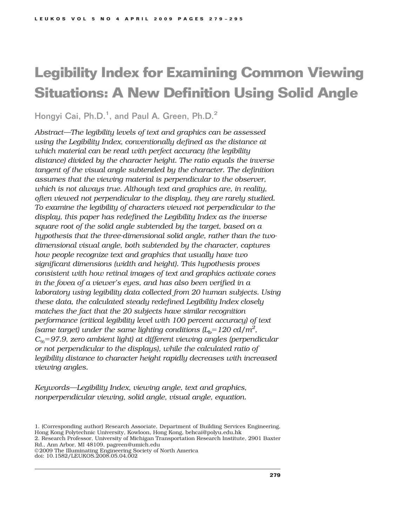# **Legibility Index for Examining Common Viewing Situations: A New Definition Using Solid Angle**

Hongyi Cai, Ph.D.<sup>1</sup>, and Paul A. Green, Ph.D.<sup>2</sup>

*Abstract—The legibility levels of text and graphics can be assessed using the Legibility Index, conventionally defined as the distance at which material can be read with perfect accuracy (the legibility distance) divided by the character height. The ratio equals the inverse tangent of the visual angle subtended by the character. The definition assumes that the viewing material is perpendicular to the observer, which is not always true. Although text and graphics are, in reality, often viewed not perpendicular to the display, they are rarely studied. To examine the legibility of characters viewed not perpendicular to the display, this paper has redefined the Legibility Index as the inverse square root of the solid angle subtended by the target, based on a hypothesis that the three-dimensional solid angle, rather than the twodimensional visual angle, both subtended by the character, captures how people recognize text and graphics that usually have two significant dimensions (width and height). This hypothesis proves consistent with how retinal images of text and graphics activate cones in the fovea of a viewer's eyes, and has also been verified in a laboratory using legibility data collected from 20 human subjects. Using these data, the calculated steady redefined Legibility Index closely matches the fact that the 20 subjects have similar recognition performance (critical legibility level with 100 percent accuracy) of text (same target) under the same lighting conditions*  $(L_b = 120 \text{ cd/m}^2)$ *, C%*!*97.9, zero ambient light) at different viewing angles (perpendicular or not perpendicular to the displays), while the calculated ratio of legibility distance to character height rapidly decreases with increased viewing angles.*

*Keywords—Legibility Index, viewing angle, text and graphics, nonperpendicular viewing, solid angle, visual angle, equation.*

doi: 10.1582/LEUKOS.2008.05.04.002

<sup>1. (</sup>Corresponding author) Research Associate, Department of Building Services Engineering, Hong Kong Polytechnic University, Kowloon, Hong Kong, behcai@polyu.edu.hk 2. Research Professor, University of Michigan Transportation Research Institute, 2901 Baxter

Rd., Ann Arbor, MI 48109, pagreen@umich.edu © 2009 The Illuminating Engineering Society of North America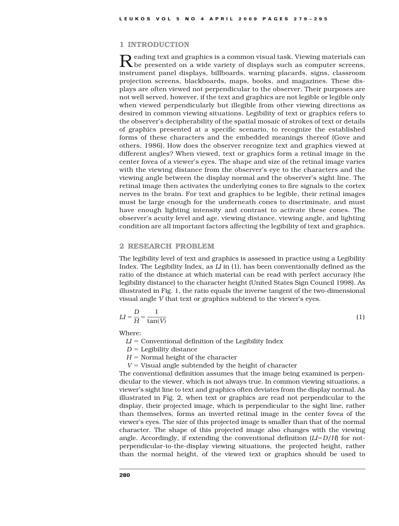# 1 INTRODUCTION

 ${\mathbf R}$  eading text and graphics is a common visual task. Viewing materials can be presented on a wide variety of displays such as computer screens, instrument panel displays, billboards, warning placards, signs, classroom projection screens, blackboards, maps, books, and magazines. These displays are often viewed not perpendicular to the observer. Their purposes are not well served, however, if the text and graphics are not legible or legible only when viewed perpendicularly but illegible from other viewing directions as desired in common viewing situations. Legibility of text or graphics refers to the observer's decipherability of the spatial mosaic of strokes of text or details of graphics presented at a specific scenario, to recognize the established forms of these characters and the embedded meanings thereof (Gove and others, 1986). How does the observer recognize text and graphics viewed at different angles? When viewed, text or graphics form a retinal image in the center fovea of a viewer's eyes. The shape and size of the retinal image varies with the viewing distance from the observer's eye to the characters and the viewing angle between the display normal and the observer's sight line. The retinal image then activates the underlying cones to fire signals to the cortex nerves in the brain. For text and graphics to be legible, their retinal images must be large enough for the underneath cones to discriminate, and must have enough lighting intensity and contrast to activate these cones. The observer's acuity level and age, viewing distance, viewing angle, and lighting condition are all important factors affecting the legibility of text and graphics.

# 2 RESEARCH PROBLEM

The legibility level of text and graphics is assessed in practice using a Legibility Index. The Legibility Index, as *LI* in (1), has been conventionally defined as the ratio of the distance at which material can be read with perfect accuracy (the legibility distance) to the character height (United States Sign Council 1998). As illustrated in Fig. 1, the ratio equals the inverse tangent of the two-dimensional visual angle *V* that text or graphics subtend to the viewer's eyes.

$$
LI = \frac{D}{H} = \frac{1}{\tan(V)}\tag{1}
$$

Where:

 $LI =$  Conventional definition of the Legibility Index

 $D =$  Legibility distance

 $H =$  Normal height of the character

 $V =$  Visual angle subtended by the height of character

The conventional definition assumes that the image being examined is perpendicular to the viewer, which is not always true. In common viewing situations, a viewer's sight line to text and graphics often deviates from the display normal. As illustrated in Fig. 2, when text or graphics are read not perpendicular to the display, their projected image, which is perpendicular to the sight line, rather than themselves, forms an inverted retinal image in the center fovea of the viewer's eyes. The size of this projected image is smaller than that of the normal character. The shape of this projected image also changes with the viewing angle. Accordingly, if extending the conventional definition  $(LI = D/H)$  for notperpendicular-to-the-display viewing situations, the projected height, rather than the normal height, of the viewed text or graphics should be used to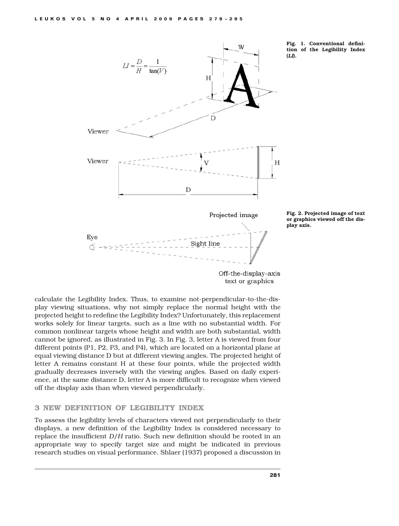

Fig. 1. Conventional definition of the Legibility Index



Fig. 2. Projected image of text or graphics viewed off the display axis.

Off-the-display-axis text or graphics

calculate the Legibility Index. Thus, to examine not-perpendicular-to-the-display viewing situations, why not simply replace the normal height with the projected height to redefine the Legibility Index? Unfortunately, this replacement works solely for linear targets, such as a line with no substantial width. For common nonlinear targets whose height and width are both substantial, width cannot be ignored, as illustrated in Fig. 3. In Fig. 3, letter A is viewed from four different points (P1, P2, P3, and P4), which are located on a horizontal plane at equal viewing distance D but at different viewing angles. The projected height of letter A remains constant H at these four points, while the projected width gradually decreases inversely with the viewing angles. Based on daily experience, at the same distance D, letter A is more difficult to recognize when viewed off the display axis than when viewed perpendicularly.

# 3 NEW DEFINITION OF LEGIBILITY INDEX

To assess the legibility levels of characters viewed not perpendicularly to their displays, a new definition of the Legibility Index is considered necessary to replace the insufficient *D/H* ratio. Such new definition should be rooted in an appropriate way to specify target size and might be indicated in previous research studies on visual performance. Shlaer (1937) proposed a discussion in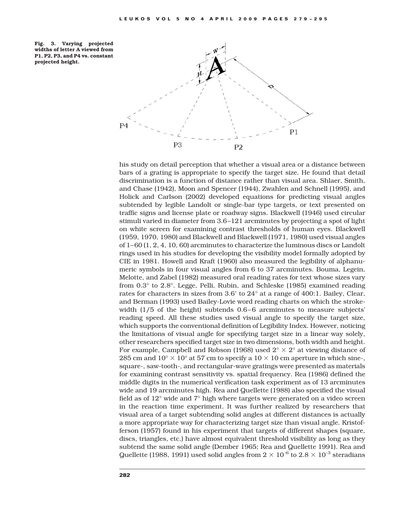Fig. 3. Varying projected widths of letter A viewed from P1, P2, P3, and P4 vs. constant projected height.



his study on detail perception that whether a visual area or a distance between bars of a grating is appropriate to specify the target size. He found that detail discrimination is a function of distance rather than visual area. Shlaer, Smith, and Chase (1942), Moon and Spencer (1944), Zwahlen and Schnell (1995), and Holick and Carlson (2002) developed equations for predicting visual angles subtended by legible Landolt or single-bar type targets, or text presented on traffic signs and license plate or roadway signs. Blackwell (1946) used circular stimuli varied in diameter from 3.6 –121 arcminutes by projecting a spot of light on white screen for examining contrast thresholds of human eyes. Blackwell (1959, 1970, 1980) and Blackwell and Blackwell (1971, 1980) used visual angles of 1–60 (1, 2, 4, 10, 60) arcminutes to characterize the luminous discs or Landolt rings used in his studies for developing the visibility model formally adopted by CIE in 1981. Howell and Kraft (1960) also measured the legibility of alphanumeric symbols in four visual angles from 6 to 37 arcminutes. Bouma, Legein, Melotte, and Zabel (1982) measured oral reading rates for text whose sizes vary from 0.3° to 2.8°. Legge, Pelli, Rubin, and Schleske (1985) examined reading rates for characters in sizes from  $3.6'$  to  $24^{\circ}$  at a range of  $400:1$ . Bailey, Clear, and Berman (1993) used Bailey-Lovie word reading charts on which the strokewidth  $(1/5)$  of the height) subtends  $0.6-6$  arcminutes to measure subjects' reading speed. All these studies used visual angle to specify the target size, which supports the conventional definition of Legibility Index. However, noticing the limitations of visual angle for specifying target size in a linear way solely, other researchers specified target size in two dimensions, both width and height. For example, Campbell and Robson (1968) used  $2^{\circ} \times 2^{\circ}$  at viewing distance of 285 cm and  $10^{\circ} \times 10^{\circ}$  at 57 cm to specify a  $10 \times 10$  cm aperture in which sine-, square-, saw-tooth-, and rectangular-wave gratings were presented as materials for examining contrast sensitivity vs. spatial frequency. Rea (1986) defined the middle digits in the numerical verification task experiment as of 13 arcminutes wide and 19 arcminutes high. Rea and Quellette (1988) also specified the visual field as of 12° wide and 7° high where targets were generated on a video screen in the reaction time experiment. It was further realized by researchers that visual area of a target subtending solid angles at different distances is actually a more appropriate way for characterizing target size than visual angle. Kristofferson (1957) found in his experiment that targets of different shapes (square, discs, triangles, etc.) have almost equivalent threshold visibility as long as they subtend the same solid angle (Dember 1965; Rea and Quellette 1991). Rea and Quellette (1988, 1991) used solid angles from  $2 \times 10^{-6}$  to  $2.8 \times 10^{-3}$  steradians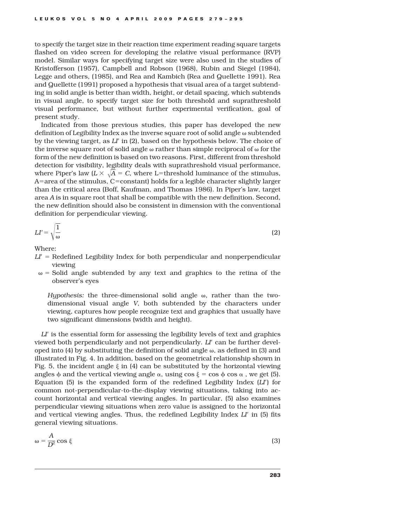to specify the target size in their reaction time experiment reading square targets flashed on video screen for developing the relative visual performance (RVP) model. Similar ways for specifying target size were also used in the studies of Kristofferson (1957), Campbell and Robson (1968), Rubin and Siegel (1984), Legge and others, (1985), and Rea and Kambich (Rea and Quellette 1991). Rea and Quellette (1991) proposed a hypothesis that visual area of a target subtending in solid angle is better than width, height, or detail spacing, which subtends in visual angle, to specify target size for both threshold and suprathreshold visual performance, but without further experimental verification, goal of present study.

Indicated from those previous studies, this paper has developed the new definition of Legibility Index as the inverse square root of solid angle  $\omega$  subtended by the viewing target, as *LI*' in (2), based on the hypothesis below. The choice of the inverse square root of solid angle  $\omega$  rather than simple reciprocal of  $\omega$  for the form of the new definition is based on two reasons. First, different from threshold detection for visibility, legibility deals with suprathreshold visual performance, where Piper's law  $(L \times \sqrt{A} = C$ , where L=threshold luminance of the stimulus, A=area of the stimulus, C=constant) holds for a legible character slightly larger than the critical area (Boff, Kaufman, and Thomas 1986). In Piper's law, target area *A* is in square root that shall be compatible with the new definition. Second, the new definition should also be consistent in dimension with the conventional definition for perpendicular viewing.

$$
LI' = \sqrt{\frac{1}{\omega}}\tag{2}
$$

Where:

- $L^{\prime}$  = Redefined Legibility Index for both perpendicular and nonperpendicular viewing
- $\omega$  = Solid angle subtended by any text and graphics to the retina of the observer's eyes

*Hypothesis:* the three-dimensional solid angle  $\omega$ , rather than the twodimensional visual angle *V*, both subtended by the characters under viewing, captures how people recognize text and graphics that usually have two significant dimensions (width and height).

 $L^{\prime}$  is the essential form for assessing the legibility levels of text and graphics viewed both perpendicularly and not perpendicularly. *LI*' can be further developed into (4) by substituting the definition of solid angle  $\omega$ , as defined in (3) and illustrated in Fig. 4. In addition, based on the geometrical relationship shown in Fig. 5, the incident angle  $\xi$  in (4) can be substituted by the horizontal viewing angles  $\phi$  and the vertical viewing angle  $\alpha$ , using cos  $\xi$  = cos  $\phi$  cos  $\alpha$ , we get (5). Equation (5) is the expanded form of the redefined Legibility Index  $(L<sup>T</sup>)$  for common not-perpendicular-to-the-display viewing situations, taking into account horizontal and vertical viewing angles. In particular, (5) also examines perpendicular viewing situations when zero value is assigned to the horizontal and vertical viewing angles. Thus, the redefined Legibility Index *LI*' in (5) fits general viewing situations.

$$
\omega = \frac{A}{D^2} \cos \xi \tag{3}
$$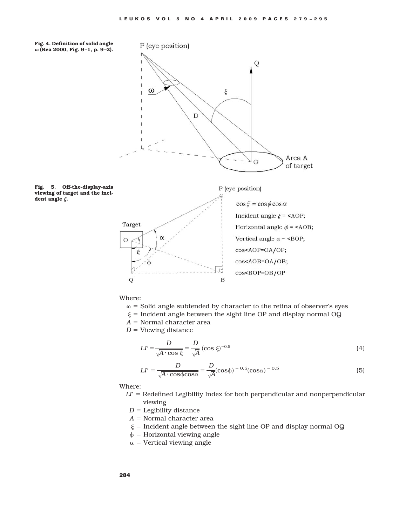

 $\omega$  = Solid angle subtended by character to the retina of observer's eyes

- $\xi$  = Incident angle between the sight line OP and display normal OQ
- $A =$  Normal character area
- $D =$  Viewing distance

$$
LI' = \frac{D}{\sqrt{A \cdot \cos \xi}} = \frac{D}{\sqrt{A}} (\cos \xi)^{-0.5}
$$
 (4)

$$
LI' = \frac{D}{\sqrt{A \cdot \cos\phi \cos\alpha}} = \frac{D}{\sqrt{A}} (\cos\phi)^{-0.5} (\cos\alpha)^{-0.5}
$$
(5)

Where:

- $L^{\prime}$  = Redefined Legibility Index for both perpendicular and nonperpendicular viewing
- $D =$  Legibility distance
- $A =$  Normal character area
- $\xi$  = Incident angle between the sight line OP and display normal OQ
- $\phi$  = Horizontal viewing angle
- $\alpha$  = Vertical viewing angle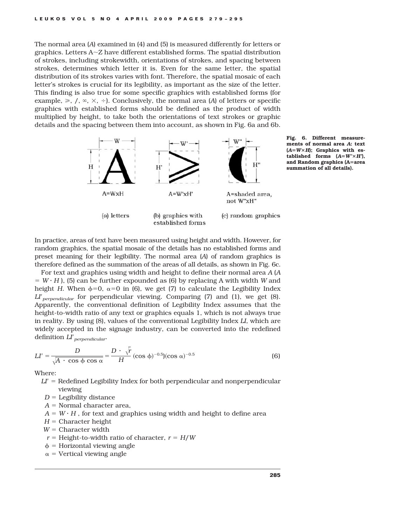The normal area (*A*) examined in (4) and (5) is measured differently for letters or graphics. Letters  $A \sim Z$  have different established forms. The spatial distribution of strokes, including strokewidth, orientations of strokes, and spacing between strokes, determines which letter it is. Even for the same letter, the spatial distribution of its strokes varies with font. Therefore, the spatial mosaic of each letter's strokes is crucial for its legibility, as important as the size of the letter. This finding is also true for some specific graphics with established forms (for example,  $\geq$ ,  $/$ ,  $\infty$ ,  $\times$ ,  $\div$ ). Conclusively, the normal area (*A*) of letters or specific graphics with established forms should be defined as the product of width multiplied by height, to take both the orientations of text strokes or graphic details and the spacing between them into account, as shown in Fig. 6a and 6b.



Fig. 6. Different measurements of normal area *A*: text  $(A=W\times H)$ ; Graphics with established forms  $(A = W' \times H')$ , and Random graphics (A=area summation of all details).

In practice, areas of text have been measured using height and width. However, for random graphics, the spatial mosaic of the details has no established forms and preset meaning for their legibility. The normal area (*A*) of random graphics is therefore defined as the summation of the areas of all details, as shown in Fig. 6c.

For text and graphics using width and height to define their normal area *A* (*A*  $= W \cdot H$ , (5) can be further expounded as (6) by replacing A with width *W* and height *H*. When  $\phi=0$ ,  $\alpha=0$  in (6), we get (7) to calculate the Legibility Index *LI perpendicular* for perpendicular viewing. Comparing (7) and (1), we get (8). Apparently, the conventional definition of Legibility Index assumes that the height-to-width ratio of any text or graphics equals 1, which is not always true in reality. By using (8), values of the conventional Legibility Index *LI*, which are widely accepted in the signage industry, can be converted into the redefined definition *LI*\$*perpendicular*.

$$
LI' = \frac{D}{\sqrt{A + \cos \phi \cos \alpha}} = \frac{D \cdot \sqrt{r}}{H} (\cos \phi)^{-0.5} (\cos \alpha)^{-0.5}
$$
(6)

Where:

 $L^{\prime}$  = Redefined Legibility Index for both perpendicular and nonperpendicular viewing

- $D =$  Legibility distance
- $A =$  Normal character area,
- $A = W \cdot H$ , for text and graphics using width and height to define area
- $H =$  Character height
- $W =$  Character width
- $r =$  Height-to-width ratio of character,  $r =$  *H*/*W*
- $\phi$  = Horizontal viewing angle
- $\alpha$  = Vertical viewing angle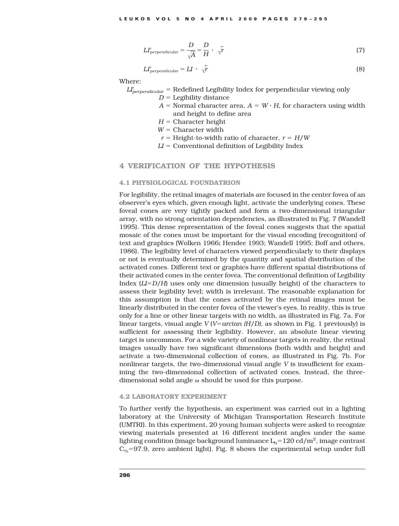$$
LI'_{perpendicular} = \frac{D}{\sqrt{A}} = \frac{D}{H} \cdot \sqrt{r}
$$
 (7)

$$
LI'_{perpendicular} = LI \cdot \sqrt{r}
$$
 (8)

Where:

 $L_{perpendicular}^{\prime}$  = Redefined Legibility Index for perpendicular viewing only

 $D =$  Legibility distance

- $A =$  Normal character area,  $A = W \cdot H$ , for characters using width and height to define area
- $H =$  Character height

 $W =$  Character width

 $r =$  Height-to-width ratio of character,  $r =$  *H/W* 

 $LI =$  Conventional definition of Legibility Index

# 4 VERIFICATION OF THE HYPOTHESIS

# 4.1 PHYSIOLOGICAL FOUNDATRION

For legibility, the retinal images of materials are focused in the center fovea of an observer's eyes which, given enough light, activate the underlying cones. These foveal cones are very tightly packed and form a two-dimensional triangular array, with no strong orientation dependencies, as illustrated in Fig. 7 (Wandell 1995). This dense representation of the foveal cones suggests that the spatial mosaic of the cones must be important for the visual encoding (recognition) of text and graphics (Wolken 1966; Hendee 1993; Wandell 1995; Boff and others, 1986). The legibility level of characters viewed perpendicularly to their displays or not is eventually determined by the quantity and spatial distribution of the activated cones. Different text or graphics have different spatial distributions of their activated cones in the center fovea. The conventional definition of Legibility Index  $(LI = D/H)$  uses only one dimension (usually height) of the characters to assess their legibility level; width is irrelevant. The reasonable explanation for this assumption is that the cones activated by the retinal images must be linearly distributed in the center fovea of the viewer's eyes. In reality, this is true only for a line or other linear targets with no width, as illustrated in Fig. 7a. For linear targets, visual angle  $V(V = \arctan(H/D)$ , as shown in Fig. 1 previously) is sufficient for assessing their legibility. However, an absolute linear viewing target is uncommon. For a wide variety of nonlinear targets in reality, the retinal images usually have two significant dimensions (both width and height) and activate a two-dimensional collection of cones, as illustrated in Fig. 7b. For nonlinear targets, the two-dimensional visual angle *V* is insufficient for examining the two-dimensional collection of activated cones. Instead, the threedimensional solid angle  $\omega$  should be used for this purpose.

#### 4.2 LABORATORY EXPERIMENT

To further verify the hypothesis, an experiment was carried out in a lighting laboratory at the University of Michigan Transportation Research Institute (UMTRI). In this experiment, 20 young human subjects were asked to recognize viewing materials presented at 16 different incident angles under the same lighting condition (image background luminance  $\rm L_b\rm=120$  cd/m<sup>2</sup>, image contrast  $C_{\%}$ =97.9, zero ambient light). Fig. 8 shows the experimental setup under full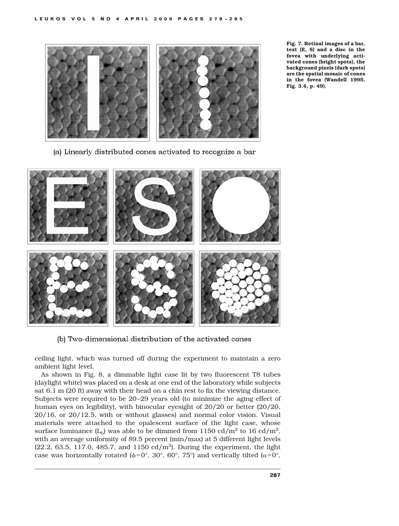

Fig. 7. Retinal images of a bar, text (E, S) and a disc in the fovea with underlying activated cones (bright spots), the background pixels (dark spots) are the spatial mosaic of cones in the fovea (Wandell 1995, Fig. 3.4, p. 49).

(a) Linearly distributed cones activated to recognize a bar



(b) Two-dimensional distribution of the activated cones

ceiling light, which was turned off during the experiment to maintain a zero ambient light level.

As shown in Fig. 8, a dimmable light case lit by two fluorescent T8 tubes (daylight white) was placed on a desk at one end of the laboratory while subjects sat 6.1 m (20 ft) away with their head on a chin rest to fix the viewing distance. Subjects were required to be 20 –29 years old (to minimize the aging effect of human eyes on legibility), with binocular eyesight of 20/20 or better (20/20, 20/16, or 20/12.5, with or without glasses) and normal color vision. Visual materials were attached to the opalescent surface of the light case, whose surface luminance  $(L_b)$  was able to be dimmed from 1150 cd/m<sup>2</sup> to 16 cd/m<sup>2</sup>, with an average uniformity of 89.5 percent (min/max) at 5 different light levels  $(22.2, 63.5, 117.0, 485.7, and 1150  $\text{cd/m}^2$ ). During the experiment, the light$ case was horizontally rotated ( $\phi = 0^{\circ}$ , 30°, 60°, 75°) and vertically tilted ( $\alpha = 0^{\circ}$ ,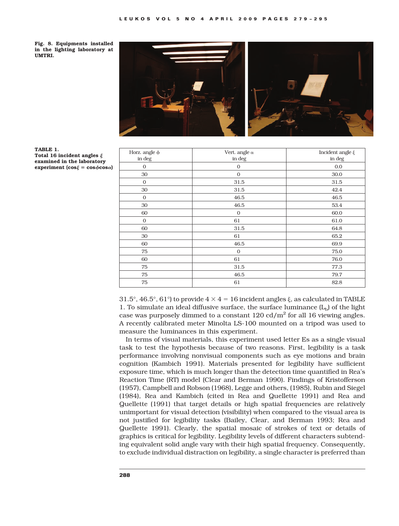Fig. 8. Equipments installed in the lighting laboratory at UMTRI.





TABLE 1. Total 16 incident angles  $\xi$ examined in the laboratory experiment ( $\cos \xi = \cos \phi \cos \alpha$ )

| Horz. angle $\phi$<br>in deg | Vert. angle $\alpha$<br>in deg | Incident angle $\xi$<br>in deg |
|------------------------------|--------------------------------|--------------------------------|
| $\mathbf{0}$                 | $\mathbf{0}$                   | 0.0                            |
| 30                           | $\mathbf{0}$                   | 30.0                           |
| $\mathbf{0}$                 | 31.5                           | 31.5                           |
| 30                           | 31.5                           | 42.4                           |
| $\mathbf{0}$                 | 46.5                           | 46.5                           |
| 30                           | 46.5                           | 53.4                           |
| 60                           | $\mathbf{0}$                   | 60.0                           |
| $\mathbf{O}$                 | 61                             | 61.0                           |
| 60                           | 31.5                           | 64.8                           |
| 30                           | 61                             | 65.2                           |
| 60                           | 46.5                           | 69.9                           |
| 75                           | $\mathbf{0}$                   | 75.0                           |
| 60                           | 61                             | 76.0                           |
| 75                           | 31.5                           | 77.3                           |
| 75                           | 46.5                           | 79.7                           |
| 75                           | 61                             | 82.8                           |

31.5°, 46.5°, 61°) to provide  $4 \times 4 = 16$  incident angles  $\xi$ , as calculated in TABLE 1. To simulate an ideal diffusive surface, the surface luminance  $(L_b)$  of the light case was purposely dimmed to a constant  $120 \text{ cd/m}^2$  for all 16 viewing angles. A recently calibrated meter Minolta LS-100 mounted on a tripod was used to measure the luminances in this experiment.

In terms of visual materials, this experiment used letter Es as a single visual task to test the hypothesis because of two reasons. First, legibility is a task performance involving nonvisual components such as eye motions and brain cognition (Kambich 1991). Materials presented for legibility have sufficient exposure time, which is much longer than the detection time quantified in Rea's Reaction Time (RT) model (Clear and Berman 1990). Findings of Kristofferson (1957), Campbell and Robson (1968), Legge and others, (1985), Rubin and Siegel (1984), Rea and Kambich (cited in Rea and Quellette 1991) and Rea and Quellette (1991) that target details or high spatial frequencies are relatively unimportant for visual detection (visibility) when compared to the visual area is not justified for legibility tasks (Bailey, Clear, and Berman 1993; Rea and Quellette 1991). Clearly, the spatial mosaic of strokes of text or details of graphics is critical for legibility. Legibility levels of different characters subtending equivalent solid angle vary with their high spatial frequency. Consequently, to exclude individual distraction on legibility, a single character is preferred than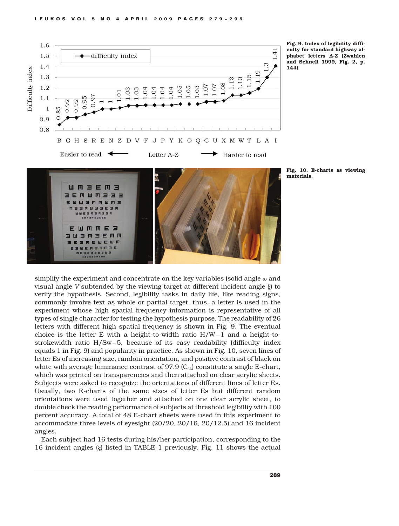

Fig. 9. Index of legibility difficulty for standard highway alphabet letters A-Z (Zwahlen and Schnell 1999, Fig. 2, p. 144).

Fig. 10. E-charts as viewing

materials.



Each subject had 16 tests during his/her participation, corresponding to the 16 incident angles ( $\xi$ ) listed in TABLE 1 previously. Fig. 11 shows the actual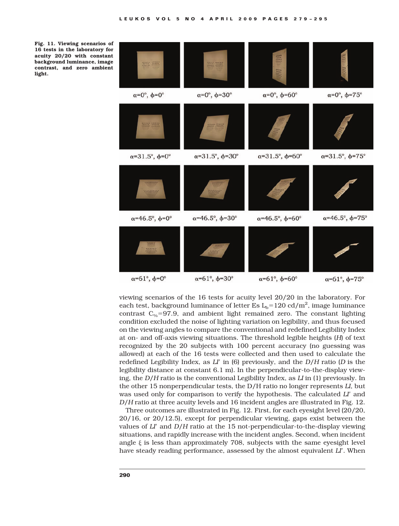

viewing scenarios of the 16 tests for acuity level 20/20 in the laboratory. For each test, background luminance of letter Es  $\rm L_b\rm=120$  cd/m<sup>2</sup>, image luminance contrast  $C_{\%} = 97.9$ , and ambient light remained zero. The constant lighting condition excluded the noise of lighting variation on legibility, and thus focused on the viewing angles to compare the conventional and redefined Legibility Index at on- and off-axis viewing situations. The threshold legible heights (*H*) of text recognized by the 20 subjects with 100 percent accuracy (no guessing was allowed) at each of the 16 tests were collected and then used to calculate the redefined Legibility Index, as  $L^{\prime}$  in (6) previously, and the  $D/H$  ratio (*D* is the legibility distance at constant 6.1 m). In the perpendicular-to-the-display viewing, the *D/H* ratio is the conventional Legibility Index, as *LI* in (1) previously. In the other 15 nonperpendicular tests, the D/H ratio no longer represents *LI*, but was used only for comparison to verify the hypothesis. The calculated *LI*<sup>'</sup> and *D/H* ratio at three acuity levels and 16 incident angles are illustrated in Fig. 12.

Three outcomes are illustrated in Fig. 12. First, for each eyesight level (20/20, 20/16, or 20/12.5), except for perpendicular viewing, gaps exist between the values of *LI*' and *D/H* ratio at the 15 not-perpendicular-to-the-display viewing situations, and rapidly increase with the incident angles. Second, when incident angle  $\xi$  is less than approximately 708, subjects with the same eyesight level have steady reading performance, assessed by the almost equivalent *LI*<sup>'</sup>. When

Fig. 11. Viewing scenarios of 16 tests in the laboratory for acuity 20/20 with constant background luminance, image contrast, and zero ambient light.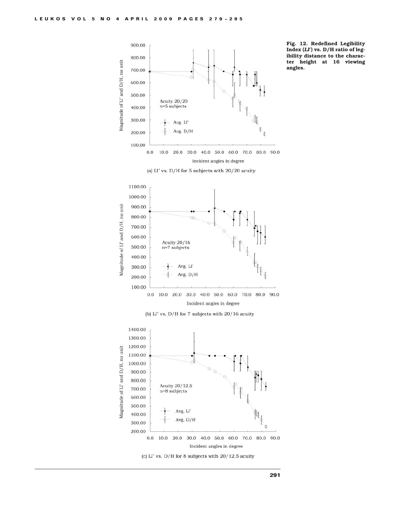



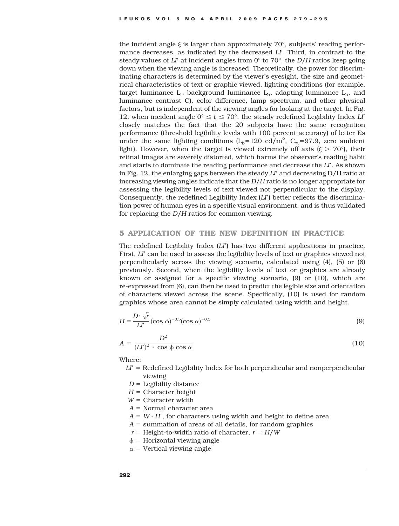the incident angle  $\xi$  is larger than approximately 70 $^{\circ}$ , subjects' reading performance decreases, as indicated by the decreased *LI*<sup>'</sup>. Third, in contrast to the steady values of  $L^{\prime}$  at incident angles from  $0^{\circ}$  to 70°, the *D*/H ratios keep going down when the viewing angle is increased. Theoretically, the power for discriminating characters is determined by the viewer's eyesight, the size and geometrical characteristics of text or graphic viewed, lighting conditions (for example, target luminance  $L_t$ , background luminance  $L_b$ , adapting luminance  $L_a$ , and luminance contrast C), color difference, lamp spectrum, and other physical factors, but is independent of the viewing angles for looking at the target. In Fig. 12, when incident angle  $0^{\circ} \le \xi \le 70^{\circ}$ , the steady redefined Legibility Index *LI*<sup>'</sup> closely matches the fact that the 20 subjects have the same recognition performance (threshold legibility levels with 100 percent accuracy) of letter Es under the same lighting conditions  $(L_b=120 \text{ cd/m}^2, C_{\%}=97.9, \text{ zero ambient})$ light). However, when the target is viewed extremely off axis ( $\xi > 70^{\circ}$ ), their retinal images are severely distorted, which harms the observer's reading habit and starts to dominate the reading performance and decrease the *LI*'. As shown in Fig. 12, the enlarging gaps between the steady  $L^{\prime}$  and decreasing D/H ratio at increasing viewing angles indicate that the *D/H* ratio is no longer appropriate for assessing the legibility levels of text viewed not perpendicular to the display. Consequently, the redefined Legibility Index  $(L<sup>r</sup>)$  better reflects the discrimination power of human eyes in a specific visual environment, and is thus validated for replacing the *D/H* ratios for common viewing.

# 5 APPLICATION OF THE NEW DEFINITION IN PRACTICE

The redefined Legibility Index  $(L<sup>T</sup>)$  has two different applications in practice. First, *LI*' can be used to assess the legibility levels of text or graphics viewed not perpendicularly across the viewing scenario, calculated using (4), (5) or (6) previously. Second, when the legibility levels of text or graphics are already known or assigned for a specific viewing scenario, (9) or (10), which are re-expressed from (6), can then be used to predict the legible size and orientation of characters viewed across the scene. Specifically, (10) is used for random graphics whose area cannot be simply calculated using width and height.

$$
H = \frac{D \cdot \sqrt{r}}{Ll'} (\cos \phi)^{-0.5} (\cos \alpha)^{-0.5}
$$
 (9)

$$
A = \frac{D^2}{(LI')^2 \cdot \cos \phi \cos \alpha} \tag{10}
$$

Where:

- $L^{\prime}$  = Redefined Legibility Index for both perpendicular and nonperpendicular viewing
- $D =$  Legibility distance
- $H =$  Character height
- $W =$  Character width
- $A =$  Normal character area
- $A = W \cdot H$ , for characters using width and height to define area
- $A =$  summation of areas of all details, for random graphics
- $r =$  Height-to-width ratio of character,  $r =$  *H*/*W*
- $\phi$  = Horizontal viewing angle
- $\alpha$  = Vertical viewing angle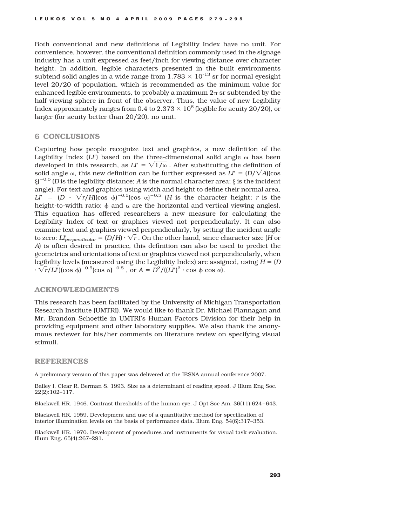Both conventional and new definitions of Legibility Index have no unit. For convenience, however, the conventional definition commonly used in the signage industry has a unit expressed as feet/inch for viewing distance over character height. In addition, legible characters presented in the built environments subtend solid angles in a wide range from  $1.783 \times 10^{-13}$  sr for normal eyesight level 20/20 of population, which is recommended as the minimum value for enhanced legible environments, to probably a maximum  $2\pi$  sr subtended by the half viewing sphere in front of the observer. Thus, the value of new Legibility Index approximately ranges from 0.4 to  $2.373 \times 10^6$  (legible for acuity 20/20), or larger (for acuity better than 20/20), no unit.

## 6 CONCLUSIONS

Capturing how people recognize text and graphics, a new definition of the Legibility Index  $(L<sup>r</sup>)$  based on the three-dimensional solid angle  $\omega$  has been developed in this research, as  $LI' = \sqrt{1/\omega}$ . After substituting the definition of solid angle  $\omega$ , this new definition can be further expressed as  $L' = (D/\sqrt{A})(\cos$  $\xi\rangle^{-0.5}$  (*D* is the legibility distance; *A* is the normal character area;  $\xi$  is the incident angle). For text and graphics using width and height to define their normal area,  $LI' = (D \cdot \sqrt{r}/H)(\cos \phi)^{-0.5}(\cos \alpha)^{-0.5}$  (*H* is the character height; *r* is the height-to-width ratio;  $\phi$  and  $\alpha$  are the horizontal and vertical viewing angles). This equation has offered researchers a new measure for calculating the Legibility Index of text or graphics viewed not perpendicularly. It can also examine text and graphics viewed perpendicularly, by setting the incident angle to zero:  $L\nu_{perpendicular} = (D/H) \cdot \sqrt{r}$  . On the other hand, since character size (*H* or *A*) is often desired in practice, this definition can also be used to predict the geometries and orientations of text or graphics viewed not perpendicularly, when legibility levels (measured using the Legibility Index) are assigned, using  $H = (D \cdot \mathbb{R})$  $\cdot \sqrt{r}/L\Gamma$ )(cos  $\phi$ )<sup>-0.5</sup>(cos  $\alpha$ )<sup>-0.5</sup>, or  $A = D^2/((L\Gamma)^2 \cdot \cos \phi \cos \alpha)$ .

# ACKNOWLEDGMENTS

This research has been facilitated by the University of Michigan Transportation Research Institute (UMTRI). We would like to thank Dr. Michael Flannagan and Mr. Brandon Schoettle in UMTRI's Human Factors Division for their help in providing equipment and other laboratory supplies. We also thank the anonymous reviewer for his/her comments on literature review on specifying visual stimuli.

# REFERENCES

A preliminary version of this paper was delivered at the IESNA annual conference 2007.

Bailey I, Clear R, Berman S. 1993. Size as a determinant of reading speed. J Illum Eng Soc. 22(2):102–117.

Blackwell HR. 1946. Contrast thresholds of the human eye. J Opt Soc Am. 36(11):624 –643.

Blackwell HR. 1959. Development and use of a quantitative method for specification of interior illumination levels on the basis of performance data. Illum Eng. 54(6):317–353.

Blackwell HR. 1970. Development of procedures and instruments for visual task evaluation. Illum Eng. 65(4):267–291.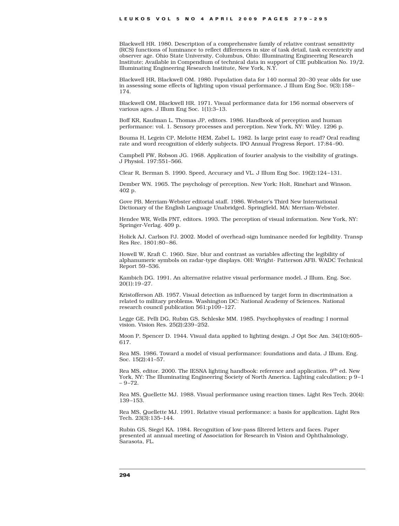Blackwell HR. 1980. Description of a comprehensive family of relative contrast sensitivity (RCS) functions of luminance to reflect differences in size of task detail, task eccentricity and observer age. Ohio State University, Columbus, Ohio: Illuminating Engineering Research Institute; Available in Compendium of technical data in support of CIE publication No. 19/2. Illuminating Engineering Research Institute, New York, N.Y.

Blackwell HR, Blackwell OM. 1980. Population data for 140 normal 20 –30 year olds for use in assessing some effects of lighting upon visual performance. J Illum Eng Soc. 9(3):158 – 174.

Blackwell OM, Blackwell HR. 1971. Visual performance data for 156 normal observers of various ages. J Illum Eng Soc. 1(1):3–13.

Boff KR, Kaufman L, Thomas JP, editors. 1986. Handbook of perception and human performance: vol. 1. Sensory processes and perception. New York, NY: Wiley. 1296 p.

Bouma H, Legein CP, Melotte HEM, Zabel L. 1982. Is large print easy to read? Oral reading rate and word recognition of elderly subjects. IPO Annual Progress Report. 17:84 –90.

Campbell FW, Robson JG. 1968. Application of fourier analysis to the visibility of gratings. J Physiol. 197:551–566.

Clear R, Berman S. 1990. Speed, Accuracy and VL. J Illum Eng Soc. 19(2):124 –131.

Dember WN. 1965. The psychology of perception. New York: Holt, Rinehart and Winson. 402 p.

Gove PB, Merriam-Webster editorial staff. 1986. Webster's Third New International Dictionary of the English Language Unabridged. Springfield, MA: Merriam-Webster.

Hendee WR, Wells PNT, editors. 1993. The perception of visual information. New York, NY: Springer-Verlag. 409 p.

Holick AJ, Carlson PJ. 2002. Model of overhead-sign luminance needed for legibility. Transp Res Rec. 1801:80 –86.

Howell W, Kraft C. 1960. Size, blur and contrast as variables affecting the legibility of alphanumeric symbols on radar-type displays. OH: Wright- Patterson AFB. WADC Technical Report 59 –536.

Kambich DG. 1991. An alternative relative visual performance model. J Illum. Eng. Soc. 20(1):19 –27.

Kristofferson AB. 1957. Visual detection as influenced by target form in discrimination a related to military problems. Washington DC: National Academy of Sciences. National research council publication 561:p109 –127.

Legge GE, Pelli DG, Rubin GS, Schleske MM. 1985. Psychophysics of reading: I normal vision. Vision Res. 25(2):239 –252.

Moon P, Spencer D. 1944. Visual data applied to lighting design. J Opt Soc Am. 34(10):605– 617.

Rea MS. 1986. Toward a model of visual performance: foundations and data. J Illum. Eng. Soc. 15(2):41–57.

Rea MS, editor. 2000. The IESNA lighting handbook: reference and application. 9<sup>th</sup> ed. New York, NY: The Illuminating Engineering Society of North America. Lighting calculation; p 9-1  $-9 - 72.$ 

Rea MS, Quellette MJ. 1988. Visual performance using reaction times. Light Res Tech. 20(4): 139 –153.

Rea MS, Quellette MJ. 1991. Relative visual performance: a basis for application. Light Res Tech. 23(3):135–144.

Rubin GS, Siegel KA. 1984. Recognition of low-pass filtered letters and faces. Paper presented at annual meeting of Association for Research in Vision and Ophthalmology, Sarasota, FL.